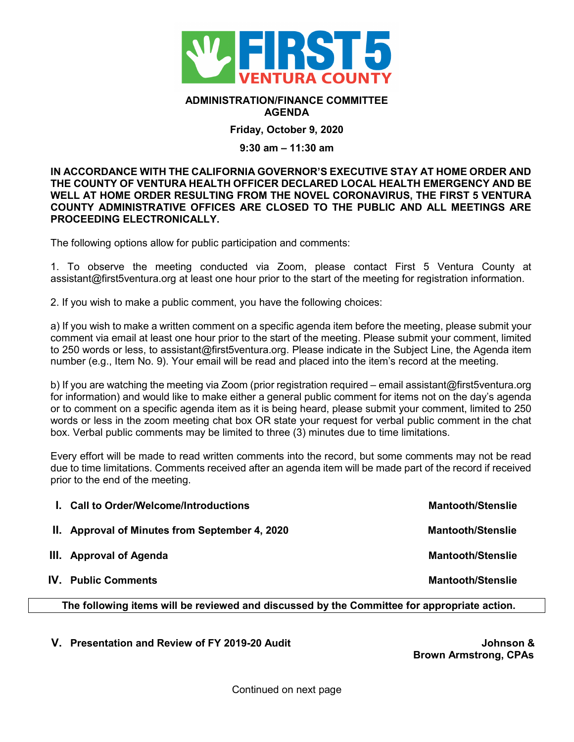

## **ADMINISTRATION/FINANCE COMMITTEE AGENDA**

**Friday, October 9, 2020**

## **9:30 am – 11:30 am**

**IN ACCORDANCE WITH THE CALIFORNIA GOVERNOR'S EXECUTIVE STAY AT HOME ORDER AND THE COUNTY OF VENTURA HEALTH OFFICER DECLARED LOCAL HEALTH EMERGENCY AND BE WELL AT HOME ORDER RESULTING FROM THE NOVEL CORONAVIRUS, THE FIRST 5 VENTURA COUNTY ADMINISTRATIVE OFFICES ARE CLOSED TO THE PUBLIC AND ALL MEETINGS ARE PROCEEDING ELECTRONICALLY.** 

The following options allow for public participation and comments:

1. To observe the meeting conducted via Zoom, please contact First 5 Ventura County at assistant@first5ventura.org at least one hour prior to the start of the meeting for registration information.

2. If you wish to make a public comment, you have the following choices:

a) If you wish to make a written comment on a specific agenda item before the meeting, please submit your comment via email at least one hour prior to the start of the meeting. Please submit your comment, limited to 250 words or less, to assistant@first5ventura.org. Please indicate in the Subject Line, the Agenda item number (e.g., Item No. 9). Your email will be read and placed into the item's record at the meeting.

b) If you are watching the meeting via Zoom (prior registration required – email assistant@first5ventura.org for information) and would like to make either a general public comment for items not on the day's agenda or to comment on a specific agenda item as it is being heard, please submit your comment, limited to 250 words or less in the zoom meeting chat box OR state your request for verbal public comment in the chat box. Verbal public comments may be limited to three (3) minutes due to time limitations.

Every effort will be made to read written comments into the record, but some comments may not be read due to time limitations. Comments received after an agenda item will be made part of the record if received prior to the end of the meeting.

| <b>Mantooth/Stenslie</b>                                                                                                                          |
|---------------------------------------------------------------------------------------------------------------------------------------------------|
| <b>Mantooth/Stenslie</b>                                                                                                                          |
| <b>Mantooth/Stenslie</b>                                                                                                                          |
| <b>Mantooth/Stenslie</b>                                                                                                                          |
| I. Call to Order/Welcome/Introductions<br>II. Approval of Minutes from September 4, 2020<br>III. Approval of Agenda<br><b>IV.</b> Public Comments |

**The following items will be reviewed and discussed by the Committee for appropriate action.**

**V. Presentation and Review of FY 2019-20 Audit Johnson &**

**Brown Armstrong, CPAs**